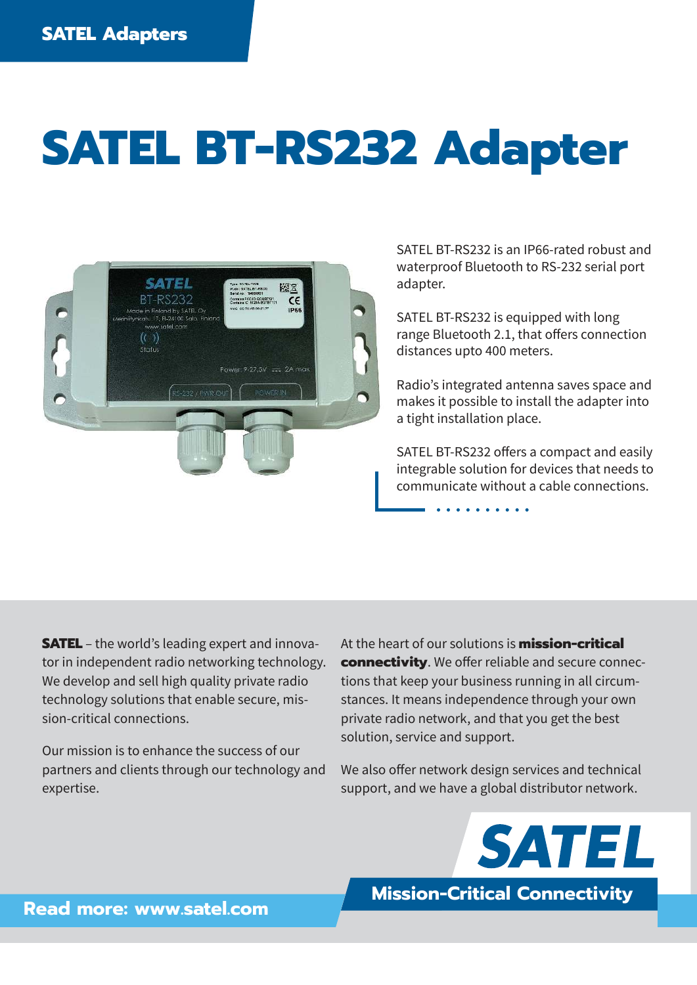## **SATEL BT-RS232 Adapter**



SATEL BT-RS232 is an IP66-rated robust and waterproof Bluetooth to RS-232 serial port adapter.

SATEL BT-RS232 is equipped with long range Bluetooth 2.1, that offers connection distances upto 400 meters.

Radio's integrated antenna saves space and makes it possible to install the adapter into a tight installation place.

SATEL BT-RS232 offers a compact and easily integrable solution for devices that needs to communicate without a cable connections.

**SATEL** – the world's leading expert and innovator in independent radio networking technology. We develop and sell high quality private radio technology solutions that enable secure, mission-critical connections.

Our mission is to enhance the success of our partners and clients through our technology and expertise.

At the heart of our solutions is **mission-critical connectivity**. We offer reliable and secure connections that keep your business running in all circumstances. It means independence through your own private radio network, and that you get the best solution, service and support.

We also offer network design services and technical support, and we have a global distributor network.